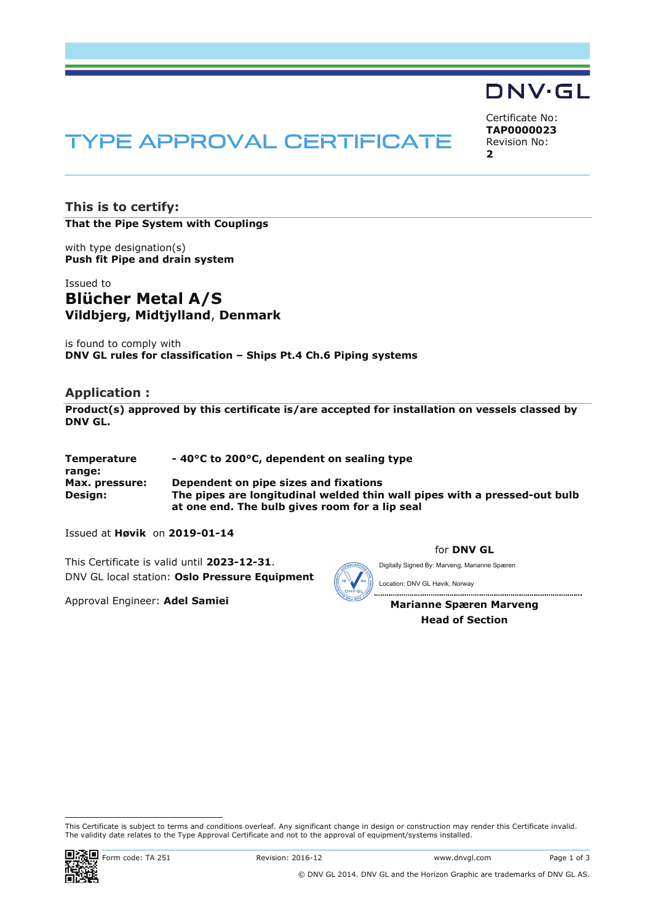# **DNV·GL**

# **TYPE APPROVAL CERTIFICATE**

Certificate No: TAP0000023 Revision No:  $\overline{2}$ 

This is to certify:

That the Pipe System with Couplings

with type designation(s) Push fit Pipe and drain system

## Issued to **Blücher Metal A/S** Vildbjerg, Midtjylland, Denmark

is found to comply with DNV GL rules for classification - Ships Pt.4 Ch.6 Piping systems

## **Application:**

Product(s) approved by this certificate is/are accepted for installation on vessels classed by DNV GL.

| <b>Temperature</b><br>range: | - 40°C to 200°C, dependent on sealing type                                                                                  |
|------------------------------|-----------------------------------------------------------------------------------------------------------------------------|
| Max. pressure:               | Dependent on pipe sizes and fixations                                                                                       |
| Design:                      | The pipes are longitudinal welded thin wall pipes with a pressed-out bulb<br>at one end. The bulb gives room for a lip seal |

Issued at Høvik on 2019-01-14

This Certificate is valid until 2023-12-31. DNV GL local station: Oslo Pressure Equipment

Approval Engineer: Adel Samiei

for DNV GL

Digitally Signed By: Marveng, Marianne Spæren

Location: DNV GL Høvik, Norway

**Marianne Spæren Marveng Head of Section** 

This Certificate is subject to terms and conditions overleaf. Any significant change in design or construction may render this Certificate invalid. The validity date relates to the Type Approval Certificate and not to the approval of equipment/systems installed.

Revision: 2016-12

................

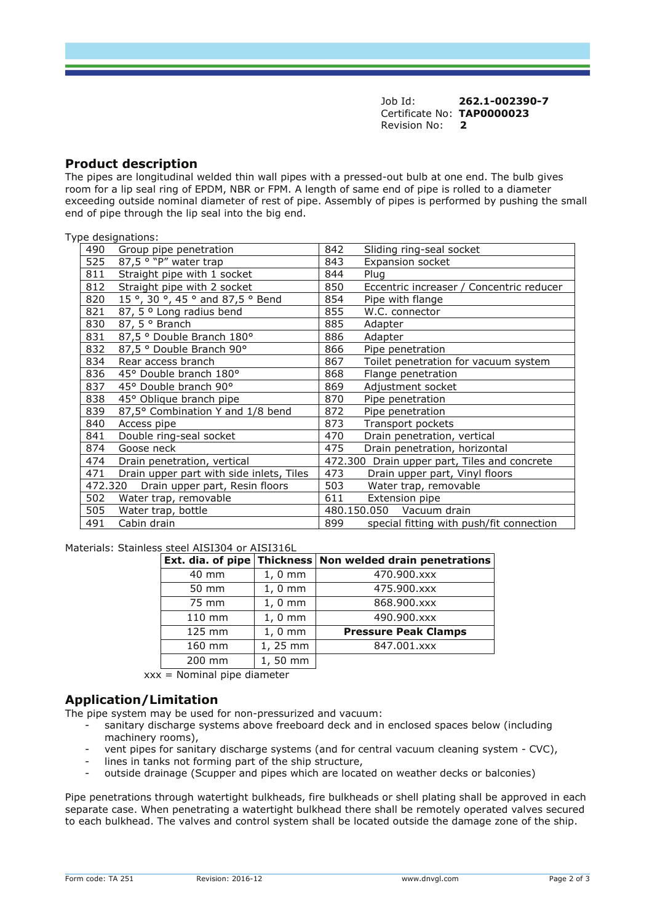Job Id: 262.1-002390-7 Certificate No: TAP0000023 Revision No:  $\overline{2}$ 

### **Product description**

The pipes are longitudinal welded thin wall pipes with a pressed-out bulb at one end. The bulb gives room for a lip seal ring of EPDM, NBR or FPM. A length of same end of pipe is rolled to a diameter exceeding outside nominal diameter of rest of pipe. Assembly of pipes is performed by pushing the small end of pipe through the lip seal into the big end.

#### Type designations:

| 490                                 | Group pipe penetration                   | 842                       | Sliding ring-seal socket                     |
|-------------------------------------|------------------------------------------|---------------------------|----------------------------------------------|
| 87,5 ° "P" water trap<br>525        |                                          | 843<br>Expansion socket   |                                              |
| 811<br>Straight pipe with 1 socket  |                                          | 844<br>Plug               |                                              |
| 812<br>Straight pipe with 2 socket  |                                          | 850                       | Eccentric increaser / Concentric reducer     |
| 820<br>15°, 30°, 45° and 87,5° Bend |                                          | 854<br>Pipe with flange   |                                              |
| 821<br>87, 5 ° Long radius bend     |                                          | 855<br>W.C. connector     |                                              |
| 87, $5°$ Branch<br>830              |                                          | 885<br>Adapter            |                                              |
| 831                                 | 87,5 ° Double Branch 180°                | 886<br>Adapter            |                                              |
| 832                                 | 87,5 ° Double Branch 90°                 | 866<br>Pipe penetration   |                                              |
| 834                                 | Rear access branch                       | 867                       | Toilet penetration for vacuum system         |
| 836                                 | 45° Double branch 180°                   | 868<br>Flange penetration |                                              |
| 837                                 | 45° Double branch 90°                    | Adjustment socket<br>869  |                                              |
| 838                                 | 45° Oblique branch pipe                  | 870<br>Pipe penetration   |                                              |
| 839                                 | 87,5° Combination Y and 1/8 bend         | 872<br>Pipe penetration   |                                              |
| 840                                 | Access pipe                              | 873<br>Transport pockets  |                                              |
| 841                                 | Double ring-seal socket                  | 470                       | Drain penetration, vertical                  |
| 874                                 | Goose neck                               | 475                       | Drain penetration, horizontal                |
| 474                                 | Drain penetration, vertical              |                           | 472.300 Drain upper part, Tiles and concrete |
| 471                                 | Drain upper part with side inlets, Tiles | 473                       | Drain upper part, Vinyl floors               |
| 472.320                             | Drain upper part, Resin floors           | 503                       | Water trap, removable                        |
| 502                                 | Water trap, removable                    | 611<br>Extension pipe     |                                              |
| 505                                 | Water trap, bottle                       | 480.150.050 Vacuum drain  |                                              |
| 491                                 | Cabin drain                              | 899                       | special fitting with push/fit connection     |

#### Materials: Stainless steel AISI304 or AISI316L

|        |           | Ext. dia. of pipe Thickness Non welded drain penetrations |  |  |  |  |
|--------|-----------|-----------------------------------------------------------|--|--|--|--|
| 40 mm  | $1,0$ mm  | 470.900.xxx                                               |  |  |  |  |
| 50 mm  | $1, 0$ mm | 475.900.xxx                                               |  |  |  |  |
| 75 mm  | $1,0$ mm  | 868.900.xxx                                               |  |  |  |  |
| 110 mm | $1, 0$ mm | 490.900.xxx                                               |  |  |  |  |
| 125 mm | $1, 0$ mm | <b>Pressure Peak Clamps</b>                               |  |  |  |  |
| 160 mm | 1, 25 mm  | 847.001.xxx                                               |  |  |  |  |
| 200 mm | 1,50 mm   |                                                           |  |  |  |  |

 $xxx = Nominal pipe diameter$ 

## **Application/Limitation**

The pipe system may be used for non-pressurized and vacuum:

- sanitary discharge systems above freeboard deck and in enclosed spaces below (including machinery rooms),
- vent pipes for sanitary discharge systems (and for central vacuum cleaning system CVC),
- lines in tanks not forming part of the ship structure,
- outside drainage (Scupper and pipes which are located on weather decks or balconies)

Pipe penetrations through watertight bulkheads, fire bulkheads or shell plating shall be approved in each separate case. When penetrating a watertight bulkhead there shall be remotely operated valves secured to each bulkhead. The valves and control system shall be located outside the damage zone of the ship.